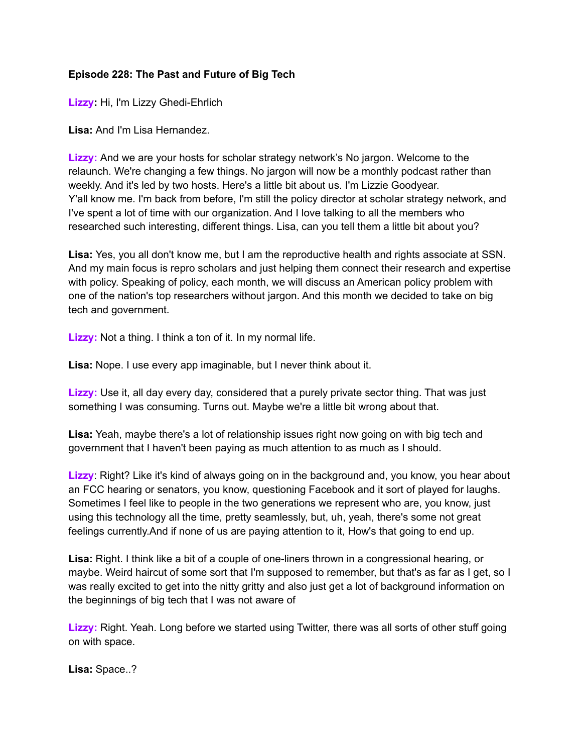## **Episode 228: The Past and Future of Big Tech**

**Lizzy:** Hi, I'm Lizzy Ghedi-Ehrlich

**Lisa:** And I'm Lisa Hernandez.

**Lizzy:** And we are your hosts for scholar strategy network's No jargon. Welcome to the relaunch. We're changing a few things. No jargon will now be a monthly podcast rather than weekly. And it's led by two hosts. Here's a little bit about us. I'm Lizzie Goodyear. Y'all know me. I'm back from before, I'm still the policy director at scholar strategy network, and I've spent a lot of time with our organization. And I love talking to all the members who researched such interesting, different things. Lisa, can you tell them a little bit about you?

**Lisa:** Yes, you all don't know me, but I am the reproductive health and rights associate at SSN. And my main focus is repro scholars and just helping them connect their research and expertise with policy. Speaking of policy, each month, we will discuss an American policy problem with one of the nation's top researchers without jargon. And this month we decided to take on big tech and government.

**Lizzy:** Not a thing. I think a ton of it. In my normal life.

**Lisa:** Nope. I use every app imaginable, but I never think about it.

**Lizzy:** Use it, all day every day, considered that a purely private sector thing. That was just something I was consuming. Turns out. Maybe we're a little bit wrong about that.

**Lisa:** Yeah, maybe there's a lot of relationship issues right now going on with big tech and government that I haven't been paying as much attention to as much as I should.

**Lizzy**: Right? Like it's kind of always going on in the background and, you know, you hear about an FCC hearing or senators, you know, questioning Facebook and it sort of played for laughs. Sometimes I feel like to people in the two generations we represent who are, you know, just using this technology all the time, pretty seamlessly, but, uh, yeah, there's some not great feelings currently.And if none of us are paying attention to it, How's that going to end up.

**Lisa:** Right. I think like a bit of a couple of one-liners thrown in a congressional hearing, or maybe. Weird haircut of some sort that I'm supposed to remember, but that's as far as I get, so I was really excited to get into the nitty gritty and also just get a lot of background information on the beginnings of big tech that I was not aware of

**Lizzy:** Right. Yeah. Long before we started using Twitter, there was all sorts of other stuff going on with space.

**Lisa:** Space..?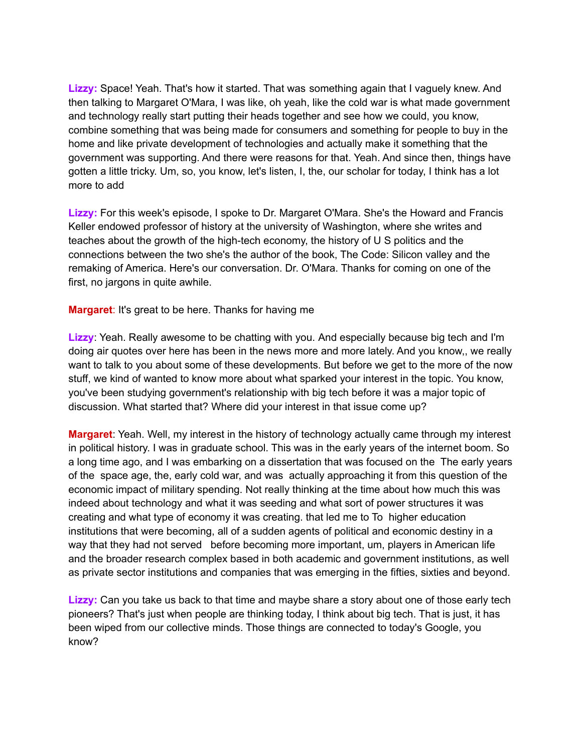**Lizzy:** Space! Yeah. That's how it started. That was something again that I vaguely knew. And then talking to Margaret O'Mara, I was like, oh yeah, like the cold war is what made government and technology really start putting their heads together and see how we could, you know, combine something that was being made for consumers and something for people to buy in the home and like private development of technologies and actually make it something that the government was supporting. And there were reasons for that. Yeah. And since then, things have gotten a little tricky. Um, so, you know, let's listen, I, the, our scholar for today, I think has a lot more to add

**Lizzy:** For this week's episode, I spoke to Dr. Margaret O'Mara. She's the Howard and Francis Keller endowed professor of history at the university of Washington, where she writes and teaches about the growth of the high-tech economy, the history of U S politics and the connections between the two she's the author of the book, The Code: Silicon valley and the remaking of America. Here's our conversation. Dr. O'Mara. Thanks for coming on one of the first, no jargons in quite awhile.

**Margaret**: It's great to be here. Thanks for having me

**Lizzy**: Yeah. Really awesome to be chatting with you. And especially because big tech and I'm doing air quotes over here has been in the news more and more lately. And you know,, we really want to talk to you about some of these developments. But before we get to the more of the now stuff, we kind of wanted to know more about what sparked your interest in the topic. You know, you've been studying government's relationship with big tech before it was a major topic of discussion. What started that? Where did your interest in that issue come up?

**Margaret**: Yeah. Well, my interest in the history of technology actually came through my interest in political history. I was in graduate school. This was in the early years of the internet boom. So a long time ago, and I was embarking on a dissertation that was focused on the The early years of the space age, the, early cold war, and was actually approaching it from this question of the economic impact of military spending. Not really thinking at the time about how much this was indeed about technology and what it was seeding and what sort of power structures it was creating and what type of economy it was creating. that led me to To higher education institutions that were becoming, all of a sudden agents of political and economic destiny in a way that they had not served before becoming more important, um, players in American life and the broader research complex based in both academic and government institutions, as well as private sector institutions and companies that was emerging in the fifties, sixties and beyond.

**Lizzy:** Can you take us back to that time and maybe share a story about one of those early tech pioneers? That's just when people are thinking today, I think about big tech. That is just, it has been wiped from our collective minds. Those things are connected to today's Google, you know?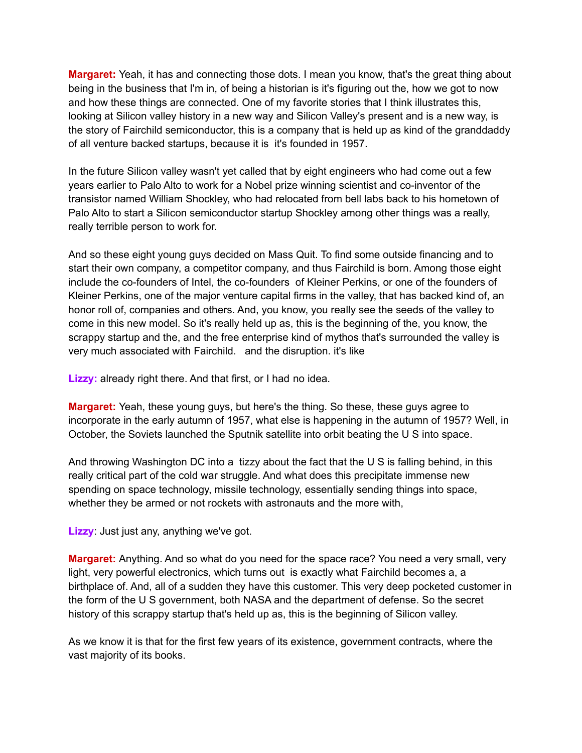**Margaret:** Yeah, it has and connecting those dots. I mean you know, that's the great thing about being in the business that I'm in, of being a historian is it's figuring out the, how we got to now and how these things are connected. One of my favorite stories that I think illustrates this, looking at Silicon valley history in a new way and Silicon Valley's present and is a new way, is the story of Fairchild semiconductor, this is a company that is held up as kind of the granddaddy of all venture backed startups, because it is it's founded in 1957.

In the future Silicon valley wasn't yet called that by eight engineers who had come out a few years earlier to Palo Alto to work for a Nobel prize winning scientist and co-inventor of the transistor named William Shockley, who had relocated from bell labs back to his hometown of Palo Alto to start a Silicon semiconductor startup Shockley among other things was a really, really terrible person to work for.

And so these eight young guys decided on Mass Quit. To find some outside financing and to start their own company, a competitor company, and thus Fairchild is born. Among those eight include the co-founders of Intel, the co-founders of Kleiner Perkins, or one of the founders of Kleiner Perkins, one of the major venture capital firms in the valley, that has backed kind of, an honor roll of, companies and others. And, you know, you really see the seeds of the valley to come in this new model. So it's really held up as, this is the beginning of the, you know, the scrappy startup and the, and the free enterprise kind of mythos that's surrounded the valley is very much associated with Fairchild. and the disruption. it's like

**Lizzy:** already right there. And that first, or I had no idea.

**Margaret:** Yeah, these young guys, but here's the thing. So these, these guys agree to incorporate in the early autumn of 1957, what else is happening in the autumn of 1957? Well, in October, the Soviets launched the Sputnik satellite into orbit beating the U S into space.

And throwing Washington DC into a tizzy about the fact that the U S is falling behind, in this really critical part of the cold war struggle. And what does this precipitate immense new spending on space technology, missile technology, essentially sending things into space, whether they be armed or not rockets with astronauts and the more with,

**Lizzy**: Just just any, anything we've got.

**Margaret:** Anything. And so what do you need for the space race? You need a very small, very light, very powerful electronics, which turns out is exactly what Fairchild becomes a, a birthplace of. And, all of a sudden they have this customer. This very deep pocketed customer in the form of the U S government, both NASA and the department of defense. So the secret history of this scrappy startup that's held up as, this is the beginning of Silicon valley.

As we know it is that for the first few years of its existence, government contracts, where the vast majority of its books.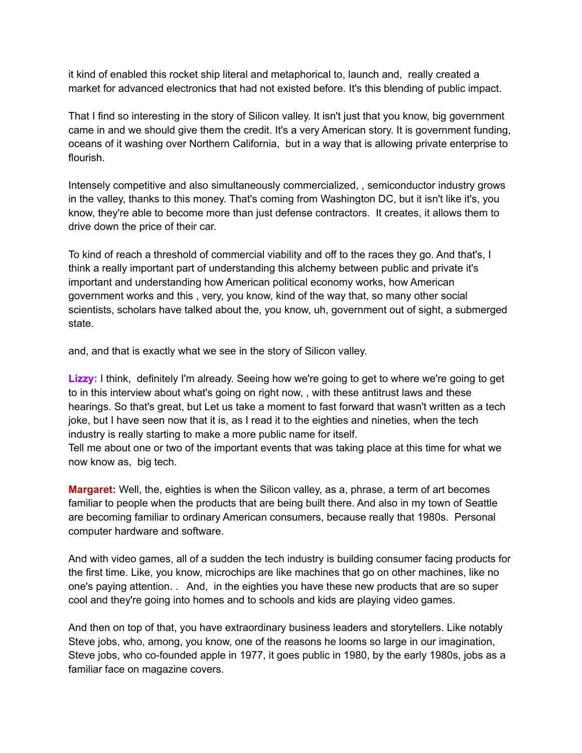it kind of enabled this rocket ship literal and metaphorical to, launch and, really created a market for advanced electronics that had not existed before. It's this blending of public impact.

That I find so interesting in the story of Silicon valley. It isn't just that you know, big government came in and we should give them the credit. It's a very American story. It is government funding, oceans of it washing over Northern California, but in a way that is allowing private enterprise to flourish.

Intensely competitive and also simultaneously commercialized, , semiconductor industry grows in the valley, thanks to this money. That's coming from Washington DC, but it isn't like it's, you know, they're able to become more than just defense contractors. It creates, it allows them to drive down the price of their car.

To kind of reach a threshold of commercial viability and off to the races they go. And that's, I think a really important part of understanding this alchemy between public and private it's important and understanding how American political economy works, how American government works and this , very, you know, kind of the way that, so many other social scientists, scholars have talked about the, you know, uh, government out of sight, a submerged state.

and, and that is exactly what we see in the story of Silicon valley.

**Lizzy:** I think, definitely I'm already. Seeing how we're going to get to where we're going to get to in this interview about what's going on right now, , with these antitrust laws and these hearings. So that's great, but Let us take a moment to fast forward that wasn't written as a tech joke, but I have seen now that it is, as I read it to the eighties and nineties, when the tech industry is really starting to make a more public name for itself.

Tell me about one or two of the important events that was taking place at this time for what we now know as, big tech.

**Margaret:** Well, the, eighties is when the Silicon valley, as a, phrase, a term of art becomes familiar to people when the products that are being built there. And also in my town of Seattle are becoming familiar to ordinary American consumers, because really that 1980s. Personal computer hardware and software.

And with video games, all of a sudden the tech industry is building consumer facing products for the first time. Like, you know, microchips are like machines that go on other machines, like no one's paying attention. . And, in the eighties you have these new products that are so super cool and they're going into homes and to schools and kids are playing video games.

And then on top of that, you have extraordinary business leaders and storytellers. Like notably Steve jobs, who, among, you know, one of the reasons he looms so large in our imagination, Steve jobs, who co-founded apple in 1977, it goes public in 1980, by the early 1980s, jobs as a familiar face on magazine covers.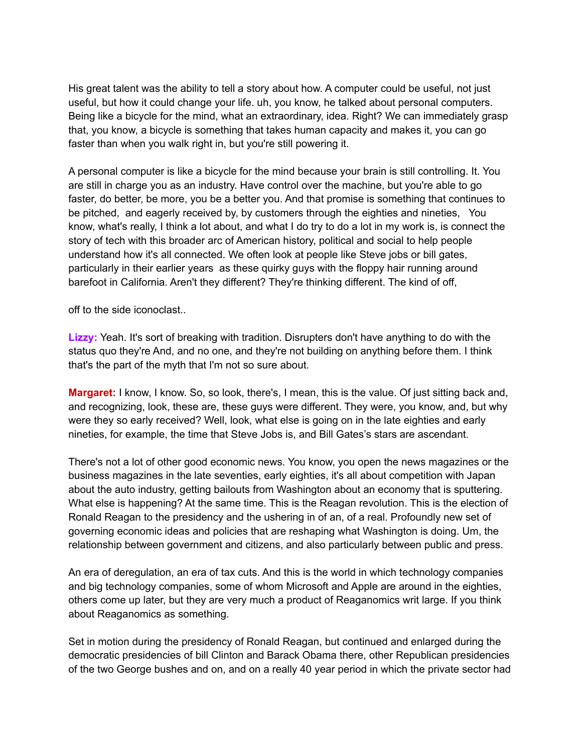His great talent was the ability to tell a story about how. A computer could be useful, not just useful, but how it could change your life. uh, you know, he talked about personal computers. Being like a bicycle for the mind, what an extraordinary, idea. Right? We can immediately grasp that, you know, a bicycle is something that takes human capacity and makes it, you can go faster than when you walk right in, but you're still powering it.

A personal computer is like a bicycle for the mind because your brain is still controlling. It. You are still in charge you as an industry. Have control over the machine, but you're able to go faster, do better, be more, you be a better you. And that promise is something that continues to be pitched, and eagerly received by, by customers through the eighties and nineties, You know, what's really, I think a lot about, and what I do try to do a lot in my work is, is connect the story of tech with this broader arc of American history, political and social to help people understand how it's all connected. We often look at people like Steve jobs or bill gates, particularly in their earlier years as these quirky guys with the floppy hair running around barefoot in California. Aren't they different? They're thinking different. The kind of off,

off to the side iconoclast..

**Lizzy:** Yeah. It's sort of breaking with tradition. Disrupters don't have anything to do with the status quo they're And, and no one, and they're not building on anything before them. I think that's the part of the myth that I'm not so sure about.

**Margaret:** I know, I know. So, so look, there's, I mean, this is the value. Of just sitting back and, and recognizing, look, these are, these guys were different. They were, you know, and, but why were they so early received? Well, look, what else is going on in the late eighties and early nineties, for example, the time that Steve Jobs is, and Bill Gates's stars are ascendant.

There's not a lot of other good economic news. You know, you open the news magazines or the business magazines in the late seventies, early eighties, it's all about competition with Japan about the auto industry, getting bailouts from Washington about an economy that is sputtering. What else is happening? At the same time. This is the Reagan revolution. This is the election of Ronald Reagan to the presidency and the ushering in of an, of a real. Profoundly new set of governing economic ideas and policies that are reshaping what Washington is doing. Um, the relationship between government and citizens, and also particularly between public and press.

An era of deregulation, an era of tax cuts. And this is the world in which technology companies and big technology companies, some of whom Microsoft and Apple are around in the eighties, others come up later, but they are very much a product of Reaganomics writ large. If you think about Reaganomics as something.

Set in motion during the presidency of Ronald Reagan, but continued and enlarged during the democratic presidencies of bill Clinton and Barack Obama there, other Republican presidencies of the two George bushes and on, and on a really 40 year period in which the private sector had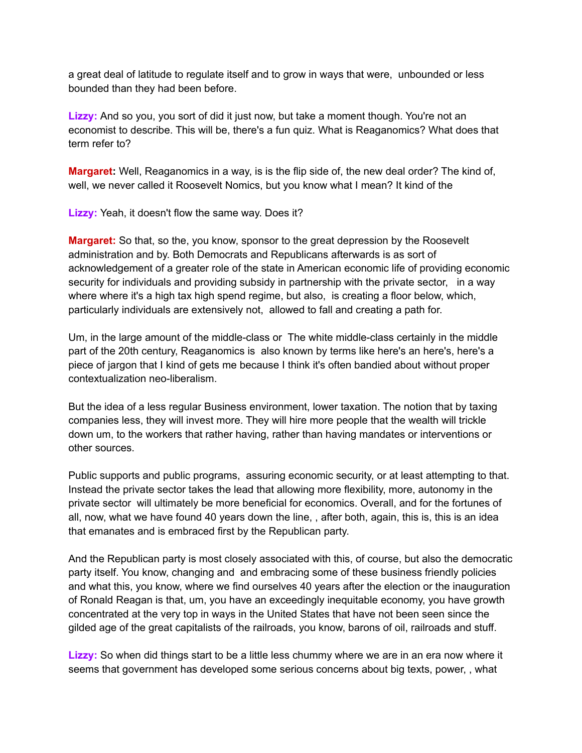a great deal of latitude to regulate itself and to grow in ways that were, unbounded or less bounded than they had been before.

**Lizzy:** And so you, you sort of did it just now, but take a moment though. You're not an economist to describe. This will be, there's a fun quiz. What is Reaganomics? What does that term refer to?

**Margaret:** Well, Reaganomics in a way, is is the flip side of, the new deal order? The kind of, well, we never called it Roosevelt Nomics, but you know what I mean? It kind of the

**Lizzy:** Yeah, it doesn't flow the same way. Does it?

**Margaret:** So that, so the, you know, sponsor to the great depression by the Roosevelt administration and by. Both Democrats and Republicans afterwards is as sort of acknowledgement of a greater role of the state in American economic life of providing economic security for individuals and providing subsidy in partnership with the private sector, in a way where where it's a high tax high spend regime, but also, is creating a floor below, which, particularly individuals are extensively not, allowed to fall and creating a path for.

Um, in the large amount of the middle-class or The white middle-class certainly in the middle part of the 20th century, Reaganomics is also known by terms like here's an here's, here's a piece of jargon that I kind of gets me because I think it's often bandied about without proper contextualization neo-liberalism.

But the idea of a less regular Business environment, lower taxation. The notion that by taxing companies less, they will invest more. They will hire more people that the wealth will trickle down um, to the workers that rather having, rather than having mandates or interventions or other sources.

Public supports and public programs, assuring economic security, or at least attempting to that. Instead the private sector takes the lead that allowing more flexibility, more, autonomy in the private sector will ultimately be more beneficial for economics. Overall, and for the fortunes of all, now, what we have found 40 years down the line, , after both, again, this is, this is an idea that emanates and is embraced first by the Republican party.

And the Republican party is most closely associated with this, of course, but also the democratic party itself. You know, changing and and embracing some of these business friendly policies and what this, you know, where we find ourselves 40 years after the election or the inauguration of Ronald Reagan is that, um, you have an exceedingly inequitable economy, you have growth concentrated at the very top in ways in the United States that have not been seen since the gilded age of the great capitalists of the railroads, you know, barons of oil, railroads and stuff.

**Lizzy:** So when did things start to be a little less chummy where we are in an era now where it seems that government has developed some serious concerns about big texts, power, , what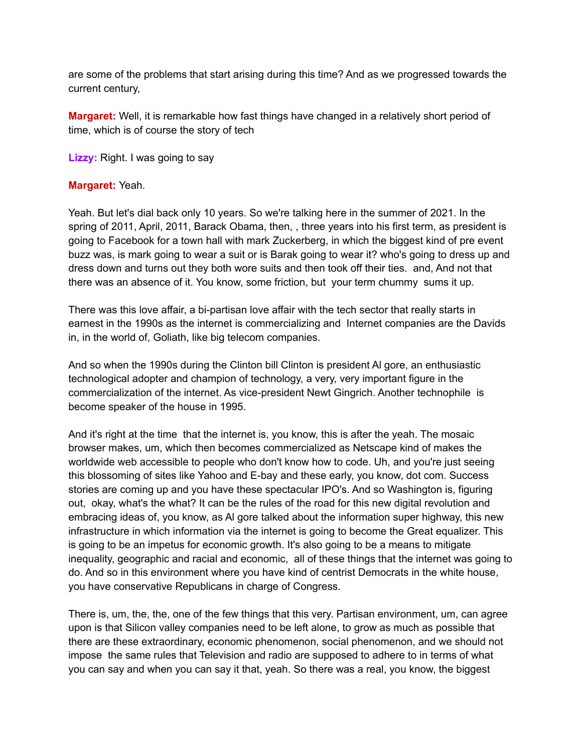are some of the problems that start arising during this time? And as we progressed towards the current century,

**Margaret:** Well, it is remarkable how fast things have changed in a relatively short period of time, which is of course the story of tech

**Lizzy:** Right. I was going to say

## **Margaret:** Yeah.

Yeah. But let's dial back only 10 years. So we're talking here in the summer of 2021. In the spring of 2011, April, 2011, Barack Obama, then, , three years into his first term, as president is going to Facebook for a town hall with mark Zuckerberg, in which the biggest kind of pre event buzz was, is mark going to wear a suit or is Barak going to wear it? who's going to dress up and dress down and turns out they both wore suits and then took off their ties. and, And not that there was an absence of it. You know, some friction, but your term chummy sums it up.

There was this love affair, a bi-partisan love affair with the tech sector that really starts in earnest in the 1990s as the internet is commercializing and Internet companies are the Davids in, in the world of, Goliath, like big telecom companies.

And so when the 1990s during the Clinton bill Clinton is president Al gore, an enthusiastic technological adopter and champion of technology, a very, very important figure in the commercialization of the internet. As vice-president Newt Gingrich. Another technophile is become speaker of the house in 1995.

And it's right at the time that the internet is, you know, this is after the yeah. The mosaic browser makes, um, which then becomes commercialized as Netscape kind of makes the worldwide web accessible to people who don't know how to code. Uh, and you're just seeing this blossoming of sites like Yahoo and E-bay and these early, you know, dot com. Success stories are coming up and you have these spectacular IPO's. And so Washington is, figuring out, okay, what's the what? It can be the rules of the road for this new digital revolution and embracing ideas of, you know, as Al gore talked about the information super highway, this new infrastructure in which information via the internet is going to become the Great equalizer. This is going to be an impetus for economic growth. It's also going to be a means to mitigate inequality, geographic and racial and economic, all of these things that the internet was going to do. And so in this environment where you have kind of centrist Democrats in the white house, you have conservative Republicans in charge of Congress.

There is, um, the, the, one of the few things that this very. Partisan environment, um, can agree upon is that Silicon valley companies need to be left alone, to grow as much as possible that there are these extraordinary, economic phenomenon, social phenomenon, and we should not impose the same rules that Television and radio are supposed to adhere to in terms of what you can say and when you can say it that, yeah. So there was a real, you know, the biggest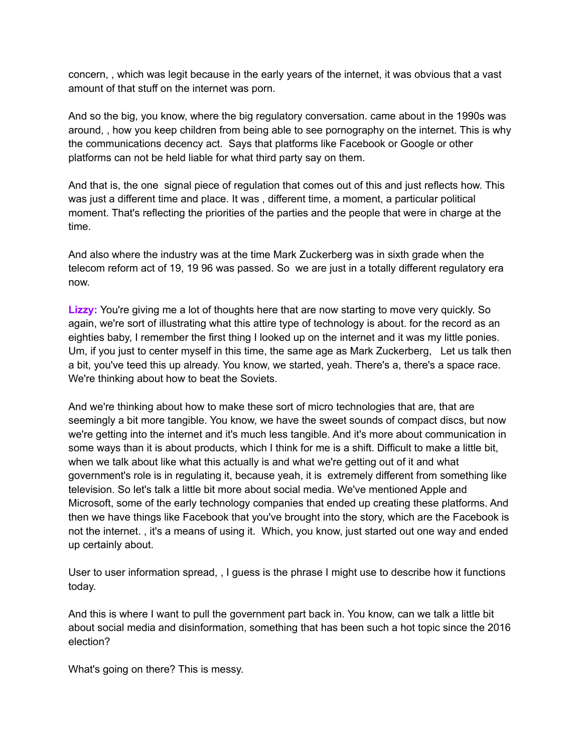concern, , which was legit because in the early years of the internet, it was obvious that a vast amount of that stuff on the internet was porn.

And so the big, you know, where the big regulatory conversation. came about in the 1990s was around, , how you keep children from being able to see pornography on the internet. This is why the communications decency act. Says that platforms like Facebook or Google or other platforms can not be held liable for what third party say on them.

And that is, the one signal piece of regulation that comes out of this and just reflects how. This was just a different time and place. It was , different time, a moment, a particular political moment. That's reflecting the priorities of the parties and the people that were in charge at the time.

And also where the industry was at the time Mark Zuckerberg was in sixth grade when the telecom reform act of 19, 19 96 was passed. So we are just in a totally different regulatory era now.

**Lizzy:** You're giving me a lot of thoughts here that are now starting to move very quickly. So again, we're sort of illustrating what this attire type of technology is about. for the record as an eighties baby, I remember the first thing I looked up on the internet and it was my little ponies. Um, if you just to center myself in this time, the same age as Mark Zuckerberg, Let us talk then a bit, you've teed this up already. You know, we started, yeah. There's a, there's a space race. We're thinking about how to beat the Soviets.

And we're thinking about how to make these sort of micro technologies that are, that are seemingly a bit more tangible. You know, we have the sweet sounds of compact discs, but now we're getting into the internet and it's much less tangible. And it's more about communication in some ways than it is about products, which I think for me is a shift. Difficult to make a little bit, when we talk about like what this actually is and what we're getting out of it and what government's role is in regulating it, because yeah, it is extremely different from something like television. So let's talk a little bit more about social media. We've mentioned Apple and Microsoft, some of the early technology companies that ended up creating these platforms. And then we have things like Facebook that you've brought into the story, which are the Facebook is not the internet. , it's a means of using it. Which, you know, just started out one way and ended up certainly about.

User to user information spread, , I guess is the phrase I might use to describe how it functions today.

And this is where I want to pull the government part back in. You know, can we talk a little bit about social media and disinformation, something that has been such a hot topic since the 2016 election?

What's going on there? This is messy.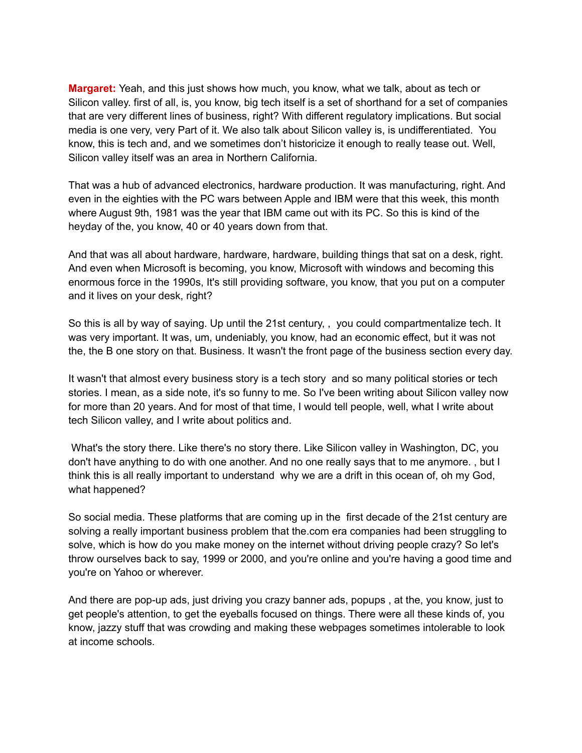**Margaret:** Yeah, and this just shows how much, you know, what we talk, about as tech or Silicon valley. first of all, is, you know, big tech itself is a set of shorthand for a set of companies that are very different lines of business, right? With different regulatory implications. But social media is one very, very Part of it. We also talk about Silicon valley is, is undifferentiated. You know, this is tech and, and we sometimes don't historicize it enough to really tease out. Well, Silicon valley itself was an area in Northern California.

That was a hub of advanced electronics, hardware production. It was manufacturing, right. And even in the eighties with the PC wars between Apple and IBM were that this week, this month where August 9th, 1981 was the year that IBM came out with its PC. So this is kind of the heyday of the, you know, 40 or 40 years down from that.

And that was all about hardware, hardware, hardware, building things that sat on a desk, right. And even when Microsoft is becoming, you know, Microsoft with windows and becoming this enormous force in the 1990s, It's still providing software, you know, that you put on a computer and it lives on your desk, right?

So this is all by way of saying. Up until the 21st century, , you could compartmentalize tech. It was very important. It was, um, undeniably, you know, had an economic effect, but it was not the, the B one story on that. Business. It wasn't the front page of the business section every day.

It wasn't that almost every business story is a tech story and so many political stories or tech stories. I mean, as a side note, it's so funny to me. So I've been writing about Silicon valley now for more than 20 years. And for most of that time, I would tell people, well, what I write about tech Silicon valley, and I write about politics and.

What's the story there. Like there's no story there. Like Silicon valley in Washington, DC, you don't have anything to do with one another. And no one really says that to me anymore. , but I think this is all really important to understand why we are a drift in this ocean of, oh my God, what happened?

So social media. These platforms that are coming up in the first decade of the 21st century are solving a really important business problem that the.com era companies had been struggling to solve, which is how do you make money on the internet without driving people crazy? So let's throw ourselves back to say, 1999 or 2000, and you're online and you're having a good time and you're on Yahoo or wherever.

And there are pop-up ads, just driving you crazy banner ads, popups , at the, you know, just to get people's attention, to get the eyeballs focused on things. There were all these kinds of, you know, jazzy stuff that was crowding and making these webpages sometimes intolerable to look at income schools.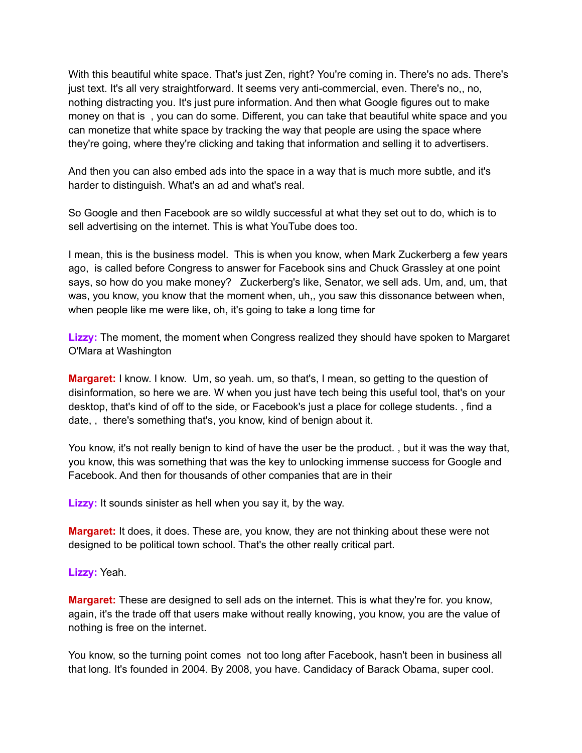With this beautiful white space. That's just Zen, right? You're coming in. There's no ads. There's just text. It's all very straightforward. It seems very anti-commercial, even. There's no,, no, nothing distracting you. It's just pure information. And then what Google figures out to make money on that is , you can do some. Different, you can take that beautiful white space and you can monetize that white space by tracking the way that people are using the space where they're going, where they're clicking and taking that information and selling it to advertisers.

And then you can also embed ads into the space in a way that is much more subtle, and it's harder to distinguish. What's an ad and what's real.

So Google and then Facebook are so wildly successful at what they set out to do, which is to sell advertising on the internet. This is what YouTube does too.

I mean, this is the business model. This is when you know, when Mark Zuckerberg a few years ago, is called before Congress to answer for Facebook sins and Chuck Grassley at one point says, so how do you make money? Zuckerberg's like, Senator, we sell ads. Um, and, um, that was, you know, you know that the moment when, uh,, you saw this dissonance between when, when people like me were like, oh, it's going to take a long time for

**Lizzy:** The moment, the moment when Congress realized they should have spoken to Margaret O'Mara at Washington

**Margaret:** I know. I know. Um, so yeah. um, so that's, I mean, so getting to the question of disinformation, so here we are. W when you just have tech being this useful tool, that's on your desktop, that's kind of off to the side, or Facebook's just a place for college students. , find a date, , there's something that's, you know, kind of benign about it.

You know, it's not really benign to kind of have the user be the product. , but it was the way that, you know, this was something that was the key to unlocking immense success for Google and Facebook. And then for thousands of other companies that are in their

**Lizzy:** It sounds sinister as hell when you say it, by the way.

**Margaret:** It does, it does. These are, you know, they are not thinking about these were not designed to be political town school. That's the other really critical part.

**Lizzy:** Yeah.

**Margaret:** These are designed to sell ads on the internet. This is what they're for. you know, again, it's the trade off that users make without really knowing, you know, you are the value of nothing is free on the internet.

You know, so the turning point comes not too long after Facebook, hasn't been in business all that long. It's founded in 2004. By 2008, you have. Candidacy of Barack Obama, super cool.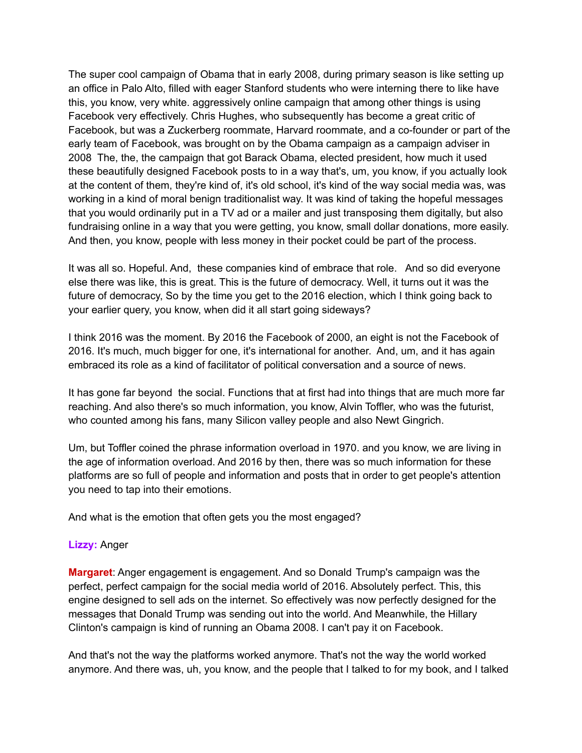The super cool campaign of Obama that in early 2008, during primary season is like setting up an office in Palo Alto, filled with eager Stanford students who were interning there to like have this, you know, very white. aggressively online campaign that among other things is using Facebook very effectively. Chris Hughes, who subsequently has become a great critic of Facebook, but was a Zuckerberg roommate, Harvard roommate, and a co-founder or part of the early team of Facebook, was brought on by the Obama campaign as a campaign adviser in 2008 The, the, the campaign that got Barack Obama, elected president, how much it used these beautifully designed Facebook posts to in a way that's, um, you know, if you actually look at the content of them, they're kind of, it's old school, it's kind of the way social media was, was working in a kind of moral benign traditionalist way. It was kind of taking the hopeful messages that you would ordinarily put in a TV ad or a mailer and just transposing them digitally, but also fundraising online in a way that you were getting, you know, small dollar donations, more easily. And then, you know, people with less money in their pocket could be part of the process.

It was all so. Hopeful. And, these companies kind of embrace that role. And so did everyone else there was like, this is great. This is the future of democracy. Well, it turns out it was the future of democracy, So by the time you get to the 2016 election, which I think going back to your earlier query, you know, when did it all start going sideways?

I think 2016 was the moment. By 2016 the Facebook of 2000, an eight is not the Facebook of 2016. It's much, much bigger for one, it's international for another. And, um, and it has again embraced its role as a kind of facilitator of political conversation and a source of news.

It has gone far beyond the social. Functions that at first had into things that are much more far reaching. And also there's so much information, you know, Alvin Toffler, who was the futurist, who counted among his fans, many Silicon valley people and also Newt Gingrich.

Um, but Toffler coined the phrase information overload in 1970. and you know, we are living in the age of information overload. And 2016 by then, there was so much information for these platforms are so full of people and information and posts that in order to get people's attention you need to tap into their emotions.

And what is the emotion that often gets you the most engaged?

## **Lizzy:** Anger

**Margaret**: Anger engagement is engagement. And so Donald Trump's campaign was the perfect, perfect campaign for the social media world of 2016. Absolutely perfect. This, this engine designed to sell ads on the internet. So effectively was now perfectly designed for the messages that Donald Trump was sending out into the world. And Meanwhile, the Hillary Clinton's campaign is kind of running an Obama 2008. I can't pay it on Facebook.

And that's not the way the platforms worked anymore. That's not the way the world worked anymore. And there was, uh, you know, and the people that I talked to for my book, and I talked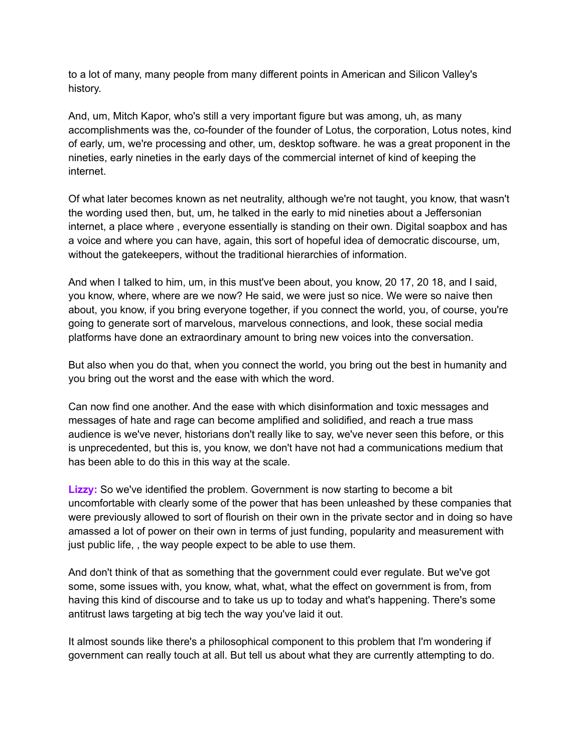to a lot of many, many people from many different points in American and Silicon Valley's history.

And, um, Mitch Kapor, who's still a very important figure but was among, uh, as many accomplishments was the, co-founder of the founder of Lotus, the corporation, Lotus notes, kind of early, um, we're processing and other, um, desktop software. he was a great proponent in the nineties, early nineties in the early days of the commercial internet of kind of keeping the internet.

Of what later becomes known as net neutrality, although we're not taught, you know, that wasn't the wording used then, but, um, he talked in the early to mid nineties about a Jeffersonian internet, a place where , everyone essentially is standing on their own. Digital soapbox and has a voice and where you can have, again, this sort of hopeful idea of democratic discourse, um, without the gatekeepers, without the traditional hierarchies of information.

And when I talked to him, um, in this must've been about, you know, 20 17, 20 18, and I said, you know, where, where are we now? He said, we were just so nice. We were so naive then about, you know, if you bring everyone together, if you connect the world, you, of course, you're going to generate sort of marvelous, marvelous connections, and look, these social media platforms have done an extraordinary amount to bring new voices into the conversation.

But also when you do that, when you connect the world, you bring out the best in humanity and you bring out the worst and the ease with which the word.

Can now find one another. And the ease with which disinformation and toxic messages and messages of hate and rage can become amplified and solidified, and reach a true mass audience is we've never, historians don't really like to say, we've never seen this before, or this is unprecedented, but this is, you know, we don't have not had a communications medium that has been able to do this in this way at the scale.

**Lizzy:** So we've identified the problem. Government is now starting to become a bit uncomfortable with clearly some of the power that has been unleashed by these companies that were previously allowed to sort of flourish on their own in the private sector and in doing so have amassed a lot of power on their own in terms of just funding, popularity and measurement with just public life, , the way people expect to be able to use them.

And don't think of that as something that the government could ever regulate. But we've got some, some issues with, you know, what, what, what the effect on government is from, from having this kind of discourse and to take us up to today and what's happening. There's some antitrust laws targeting at big tech the way you've laid it out.

It almost sounds like there's a philosophical component to this problem that I'm wondering if government can really touch at all. But tell us about what they are currently attempting to do.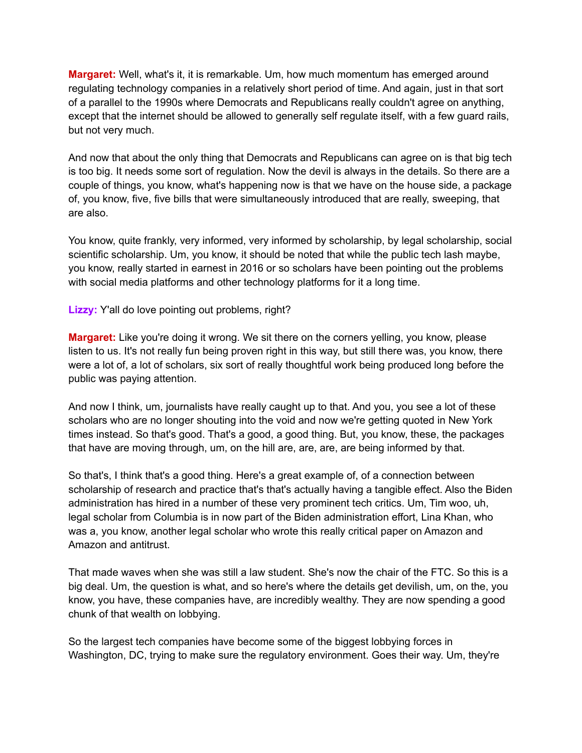**Margaret:** Well, what's it, it is remarkable. Um, how much momentum has emerged around regulating technology companies in a relatively short period of time. And again, just in that sort of a parallel to the 1990s where Democrats and Republicans really couldn't agree on anything, except that the internet should be allowed to generally self regulate itself, with a few guard rails, but not very much.

And now that about the only thing that Democrats and Republicans can agree on is that big tech is too big. It needs some sort of regulation. Now the devil is always in the details. So there are a couple of things, you know, what's happening now is that we have on the house side, a package of, you know, five, five bills that were simultaneously introduced that are really, sweeping, that are also.

You know, quite frankly, very informed, very informed by scholarship, by legal scholarship, social scientific scholarship. Um, you know, it should be noted that while the public tech lash maybe, you know, really started in earnest in 2016 or so scholars have been pointing out the problems with social media platforms and other technology platforms for it a long time.

**Lizzy:** Y'all do love pointing out problems, right?

**Margaret:** Like you're doing it wrong. We sit there on the corners yelling, you know, please listen to us. It's not really fun being proven right in this way, but still there was, you know, there were a lot of, a lot of scholars, six sort of really thoughtful work being produced long before the public was paying attention.

And now I think, um, journalists have really caught up to that. And you, you see a lot of these scholars who are no longer shouting into the void and now we're getting quoted in New York times instead. So that's good. That's a good, a good thing. But, you know, these, the packages that have are moving through, um, on the hill are, are, are, are being informed by that.

So that's, I think that's a good thing. Here's a great example of, of a connection between scholarship of research and practice that's that's actually having a tangible effect. Also the Biden administration has hired in a number of these very prominent tech critics. Um, Tim woo, uh, legal scholar from Columbia is in now part of the Biden administration effort, Lina Khan, who was a, you know, another legal scholar who wrote this really critical paper on Amazon and Amazon and antitrust.

That made waves when she was still a law student. She's now the chair of the FTC. So this is a big deal. Um, the question is what, and so here's where the details get devilish, um, on the, you know, you have, these companies have, are incredibly wealthy. They are now spending a good chunk of that wealth on lobbying.

So the largest tech companies have become some of the biggest lobbying forces in Washington, DC, trying to make sure the regulatory environment. Goes their way. Um, they're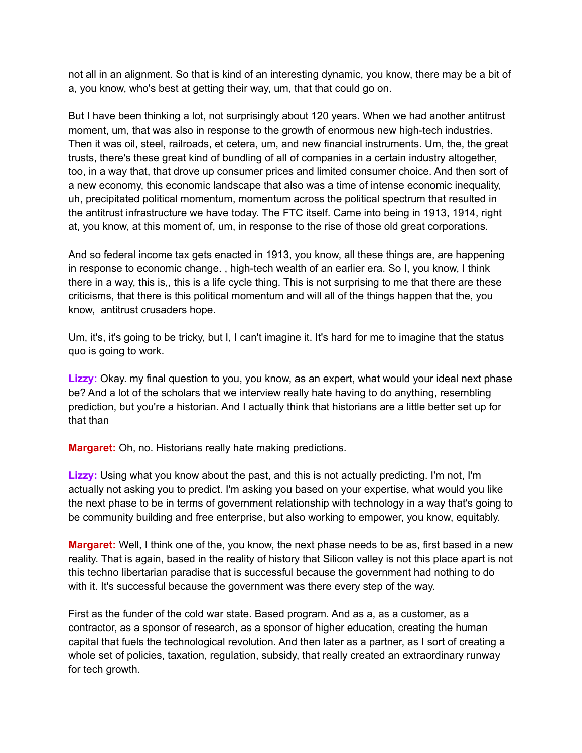not all in an alignment. So that is kind of an interesting dynamic, you know, there may be a bit of a, you know, who's best at getting their way, um, that that could go on.

But I have been thinking a lot, not surprisingly about 120 years. When we had another antitrust moment, um, that was also in response to the growth of enormous new high-tech industries. Then it was oil, steel, railroads, et cetera, um, and new financial instruments. Um, the, the great trusts, there's these great kind of bundling of all of companies in a certain industry altogether, too, in a way that, that drove up consumer prices and limited consumer choice. And then sort of a new economy, this economic landscape that also was a time of intense economic inequality, uh, precipitated political momentum, momentum across the political spectrum that resulted in the antitrust infrastructure we have today. The FTC itself. Came into being in 1913, 1914, right at, you know, at this moment of, um, in response to the rise of those old great corporations.

And so federal income tax gets enacted in 1913, you know, all these things are, are happening in response to economic change. , high-tech wealth of an earlier era. So I, you know, I think there in a way, this is,, this is a life cycle thing. This is not surprising to me that there are these criticisms, that there is this political momentum and will all of the things happen that the, you know, antitrust crusaders hope.

Um, it's, it's going to be tricky, but I, I can't imagine it. It's hard for me to imagine that the status quo is going to work.

**Lizzy:** Okay. my final question to you, you know, as an expert, what would your ideal next phase be? And a lot of the scholars that we interview really hate having to do anything, resembling prediction, but you're a historian. And I actually think that historians are a little better set up for that than

**Margaret:** Oh, no. Historians really hate making predictions.

**Lizzy:** Using what you know about the past, and this is not actually predicting. I'm not, I'm actually not asking you to predict. I'm asking you based on your expertise, what would you like the next phase to be in terms of government relationship with technology in a way that's going to be community building and free enterprise, but also working to empower, you know, equitably.

**Margaret:** Well, I think one of the, you know, the next phase needs to be as, first based in a new reality. That is again, based in the reality of history that Silicon valley is not this place apart is not this techno libertarian paradise that is successful because the government had nothing to do with it. It's successful because the government was there every step of the way.

First as the funder of the cold war state. Based program. And as a, as a customer, as a contractor, as a sponsor of research, as a sponsor of higher education, creating the human capital that fuels the technological revolution. And then later as a partner, as I sort of creating a whole set of policies, taxation, regulation, subsidy, that really created an extraordinary runway for tech growth.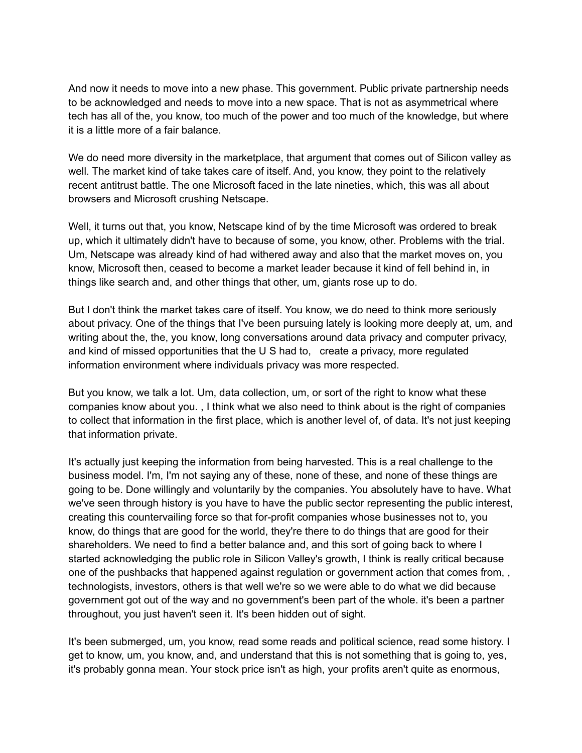And now it needs to move into a new phase. This government. Public private partnership needs to be acknowledged and needs to move into a new space. That is not as asymmetrical where tech has all of the, you know, too much of the power and too much of the knowledge, but where it is a little more of a fair balance.

We do need more diversity in the marketplace, that argument that comes out of Silicon valley as well. The market kind of take takes care of itself. And, you know, they point to the relatively recent antitrust battle. The one Microsoft faced in the late nineties, which, this was all about browsers and Microsoft crushing Netscape.

Well, it turns out that, you know, Netscape kind of by the time Microsoft was ordered to break up, which it ultimately didn't have to because of some, you know, other. Problems with the trial. Um, Netscape was already kind of had withered away and also that the market moves on, you know, Microsoft then, ceased to become a market leader because it kind of fell behind in, in things like search and, and other things that other, um, giants rose up to do.

But I don't think the market takes care of itself. You know, we do need to think more seriously about privacy. One of the things that I've been pursuing lately is looking more deeply at, um, and writing about the, the, you know, long conversations around data privacy and computer privacy, and kind of missed opportunities that the U S had to, create a privacy, more regulated information environment where individuals privacy was more respected.

But you know, we talk a lot. Um, data collection, um, or sort of the right to know what these companies know about you. , I think what we also need to think about is the right of companies to collect that information in the first place, which is another level of, of data. It's not just keeping that information private.

It's actually just keeping the information from being harvested. This is a real challenge to the business model. I'm, I'm not saying any of these, none of these, and none of these things are going to be. Done willingly and voluntarily by the companies. You absolutely have to have. What we've seen through history is you have to have the public sector representing the public interest, creating this countervailing force so that for-profit companies whose businesses not to, you know, do things that are good for the world, they're there to do things that are good for their shareholders. We need to find a better balance and, and this sort of going back to where I started acknowledging the public role in Silicon Valley's growth, I think is really critical because one of the pushbacks that happened against regulation or government action that comes from, , technologists, investors, others is that well we're so we were able to do what we did because government got out of the way and no government's been part of the whole. it's been a partner throughout, you just haven't seen it. It's been hidden out of sight.

It's been submerged, um, you know, read some reads and political science, read some history. I get to know, um, you know, and, and understand that this is not something that is going to, yes, it's probably gonna mean. Your stock price isn't as high, your profits aren't quite as enormous,